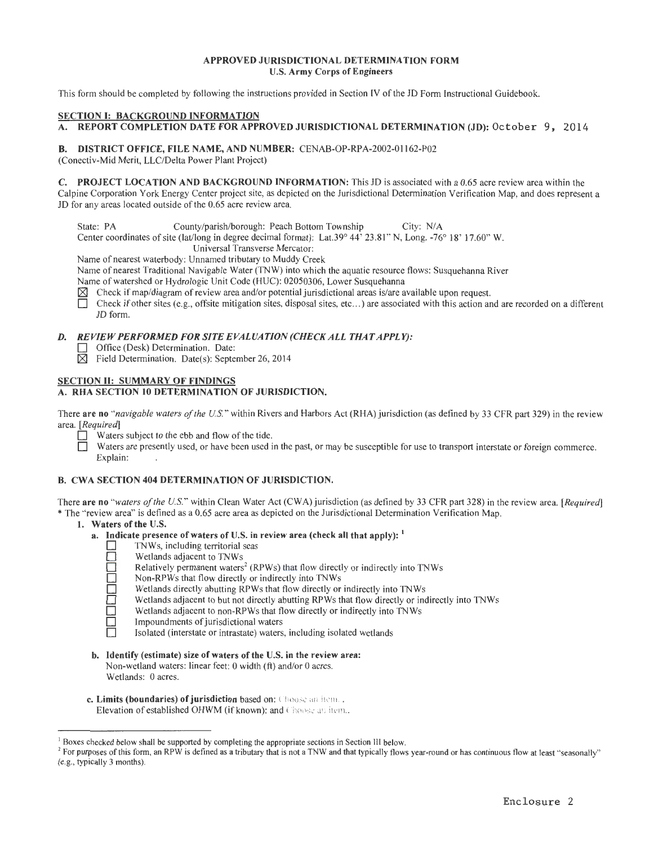## APPROVED JURISDICTIONAL DETERMINATION FORM U.S. Army Corps of Engineers

This form should be completed by following the instructions provided in Section IV of the JD Form Instructional Guidebook.

### SECTION 1: BACKGROUND INFORMATION

A. REPORT COMPLETION DATE FOR APPROVED JURISDICTIONAL DETERMINATION (JD): October 9, 2014

### B. DISTRICT OFFICE, FILE NAME, AND NUMBER: CENAB-OP-RPA-2002-01162-P02

(Conectiv-Mid Merit, LLC/Delta Power Plant Project)

C. PROJECT LOCATION AND BACKGROUND lNFORMA TION: This JD is associated with a 0.65 acre review area within the Calpine Corporation York Energy Center project site, as depicted on the Jurisdictional Determination Verification Map, and does represent a JD for any areas located outside of the 0.65 acre review area.

State: PA County/parish/borough: Peach Bottom Township City: N/A

Center coordinates of site (lat/long in degree decimal format): Lat.39° 44' 23.81" N, Long. -76° 18' 17.60" W.

Universal Transverse Mercator:

Name of nearest waterbody: Unnamed tributary to Muddy Creek

Name of nearest Traditional Navigable Water (TNW) into which the aquatic resource flows: Susquehanna River

Name of watershed or Hydrologic Unit Code (HUC): 02050306, Lower Susquehanna

 $[\times]$  Check if map/diagram of review area and/or potential jurisdictional areas is/are available upon request.

Check if other sites (e.g., offsite mitigation sites, disposal sites, etc...) are associated with this action and are recorded on a different JD form.

# *D. REVIEW PERFORMED FOR SITE EVALUATION (CHECK ALL THAT APPLY):*

□ Office (Desk) Determination. Date:

 $\boxtimes$  Field Determination. Date(s): September 26, 2014

## SECTION II: SUMMARY OF FINDINGS

## A. RHA SECTION 10 DETERMINATION OF JURISDICTION.

There are no *"navigable waters of the U.S. "* within Rivers and Harbors Act (RHA) jurisdiction (as defined by 33 CFR part 329) in the review area. *[Required]* 

- Waters subject to the ebb and flow of the tide.
- Waters are presently used, or have been used in the past, or may be susceptible for use to transport interstate or foreign commerce. Explain:

# B. CWA SECTION 404 DETERMINATION OF JURISDICTION.

There are no *"waters of the U.S."* within Clean Water Act (CWA) jurisdiction (as defined by 33 CFR part 328) in the review area. *[Required]*  \*The "review area" is defined as a 0.65 acre area as depicted on the Jurisdictional Determination Verification Map.

#### I. Waters of the U.S.

- a. Indicate presence of waters of U.S. in review area (check all that apply):  $<sup>1</sup>$ </sup>
	- $\Box$  TNWs, including territorial seas<br> $\Box$  Wetlands adiacent to TNWs
		- Wetlands adjacent to TNWs
		- Relatively permanent waters<sup>2</sup> (RPWs) that flow directly or indirectly into TNWs
		- Non-RPWs that flow directly or indirectly into TNWs
		- Wetlands directly abutting RPWs that flow directly or indirectly into TNWs
		- Wetlands adjacent to but not directly abutting RPWs that flow directly or indirectly into TNWs
		- Wetlands adjacent to non-RPWs that flow directly or indirectly into TNWs
		- Impoundments of jurisdictional waters
		- Isolated (interstate or intrastate) waters, including isolated wetlands
- b. Identify (estimate) size of waters of the U.S. in the review area: Non-wetland waters: linear feet: 0 width (ft) and/or 0 acres. Wetlands: 0 acres.
- c. Limits (boundaries) of jurisdiction based on: Choose an item...

Elevation of established OHWM (if known): and Choose an item..

<sup>&</sup>lt;sup>1</sup> Boxes checked below shall be supported by completing the appropriate sections in Section III below.<br><sup>2</sup> For purposes of this form, an RPW is defined as a tributary that is not a TNW and that typically flows year-round (e.g., typically 3 months).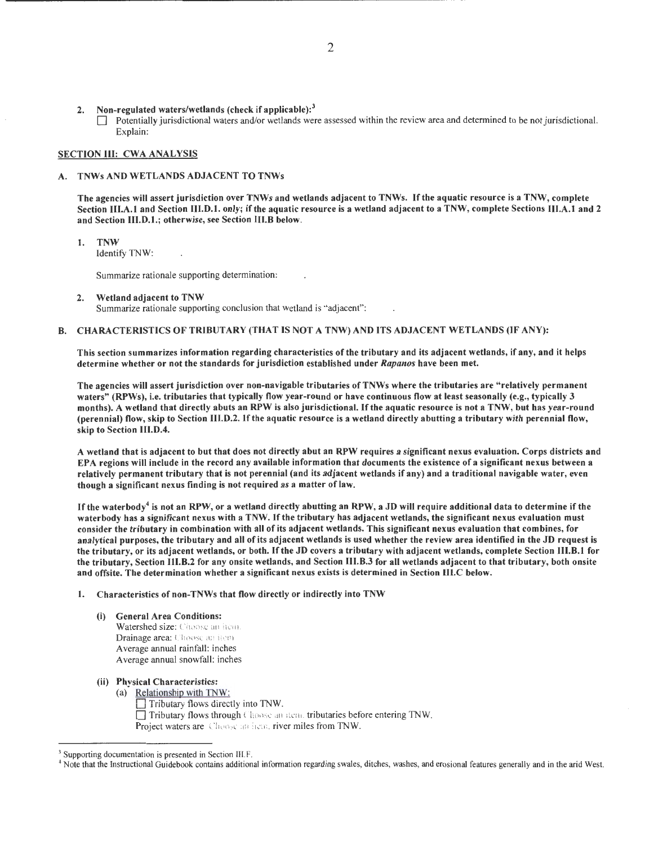2. Non-regulated waters/wetlands (check if applicable):<sup>3</sup> D Potentially jurisdictional waters and/or wetlands were assessed within the review area and determined to be not jurisdictional. Explain:

## SECTION III: CWA ANALYSIS

### A. TNWs AND WETLANDS ADJACENT TO TNWs

The agencies will assert jurisdiction over TNWs and wetlands adjacent to TNWs. If the aquatic resource is a TNW, complete Section III.A.l and Section III.D.l. only; if the aquatic resource is a wetland adjacent to a TNW, complete Sections III.A.l and 2 and Section III.D.1.; otherwise, see Section III.B below.

1. TNW

Identify TNW:

Summarize rationale supporting determination :

2. Wetland adjacent to TNW Summarize rationale supporting conclusion that wetland is "adjacent":

## B. CHARACTERISTICS OF TRIBUTARY (THAT IS NOT A TNW) AND ITS ADJACENT WETLANDS (IF ANY):

This section summarizes information regarding characteristics of the tributary and its adjacent wetlands, if any, and it helps determine whether or not the standards for jurisdiction established under Rapanos have been met.

The agencies will assert jurisdiction over non-navigable tributaries of TNWs where the tributaries are "relatively permanent waters" (RPWs), i.e. tributaries that typically flow year-round or have continuous flow at least seasonally (e.g., typically 3 months). A wetland that directly abuts an RPW is also jurisdictional. If the aquatic resource is not a TNW, but has year-round (perennial) flow, skip to Section III.D.2. If the aquatic resource is a wetland directly abutting a tributary with perennial flow, skip to Section III.D.4.

A wetland that is adjacent to but that does not directly abut an RPW requires a significant nexus evaluation. Corps districts and EPA regions will include in the record any available information that documents the existence of a significant nexus between a relatively permanent tributary that is not perennial (and its adjacent wetlands if any) and a traditional navigable water, even though a significant nexus finding is not required as a matter of law.

If the waterbody<sup>4</sup> is not an RPW, or a wetland directly abutting an RPW, a JD will require additional data to determine if the waterbody has a significant nexus with a TNW. If the tributary has adjacent wetlands, the significant nexus evaluation must consider the tributary in combination with all of its adjacent wetlands. This significant nexus evaluation that combines, for analytical purposes, the tributary and all of its adjacent wetlands is used whether the review area identified in the JD request is the tributary, or its adjacent wetlands, or both. If the JD covers a tributary with adjacent wetlands, complete Section III.B.l for the tributary, Section III.B.2 for any onsite wetlands, and Section III.B.3 for all wetlands adjacent to that tributary, both onsite and offsite. The determination whether a significant nexus exists is determined in Section III.C below.

1. Characteristics of non-TNWs that flow directly or indirectly into TNW

- (i) General Area Conditions: Watershed size: Choose an item. Drainage area: Choose an item. Average annual rainfall: inches Average annual snowfall: inches
- (ii) Physical Characteristics:
	- (a) Relationship with TNW: D Tributary fl ows directly into TNW.
		- Tributary flows through Choose an item. tributaries before entering TNW. Project waters are Choose an item. river miles from TNW.

<sup>&</sup>lt;sup>3</sup> Supporting documentation is presented in Section III.F.

<sup>~</sup>Note that the Instructional Guidebook contains additional information regarding swales, ditches, washes, and erosional features generally and in the arid West.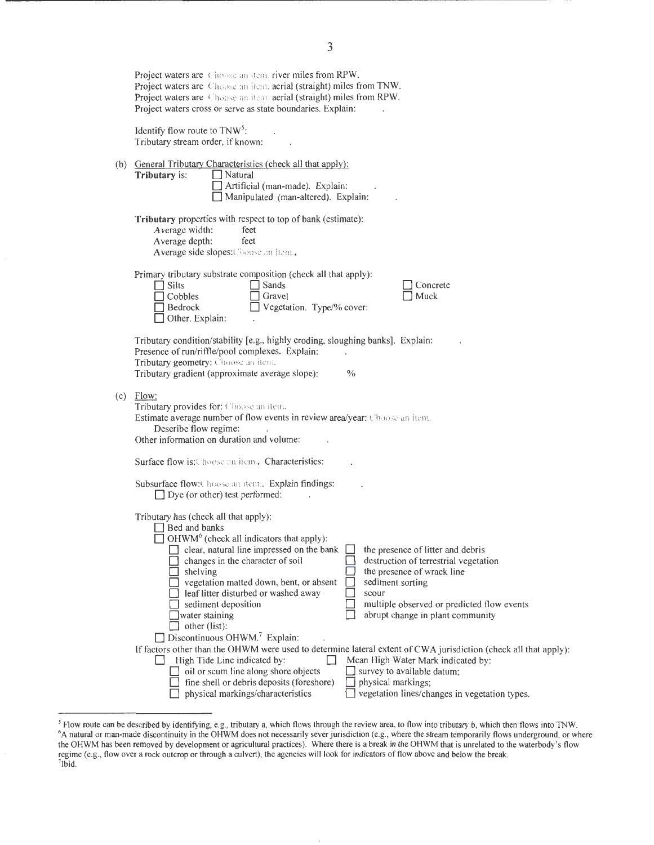| Project waters are Choose an item, river miles from RPW.<br>Project waters are Chease an item. aerial (straight) miles from TNW.<br>Project waters are Choose an item aerial (straight) miles from RPW.<br>Project waters cross or serve as state boundaries. Explain:                                                                                                                                                                                                                                                                                                                                                                                                                                                                                                                                                                                                                                                                                                                                                                                                         |  |  |  |  |
|--------------------------------------------------------------------------------------------------------------------------------------------------------------------------------------------------------------------------------------------------------------------------------------------------------------------------------------------------------------------------------------------------------------------------------------------------------------------------------------------------------------------------------------------------------------------------------------------------------------------------------------------------------------------------------------------------------------------------------------------------------------------------------------------------------------------------------------------------------------------------------------------------------------------------------------------------------------------------------------------------------------------------------------------------------------------------------|--|--|--|--|
| Identify flow route to $TNW^5$ :<br>Tributary stream order, if known:                                                                                                                                                                                                                                                                                                                                                                                                                                                                                                                                                                                                                                                                                                                                                                                                                                                                                                                                                                                                          |  |  |  |  |
| (b) General Tributary Characteristics (check all that apply):<br>$\Box$ Natural<br>Tributary is:<br>Artificial (man-made). Explain:<br>Manipulated (man-altered). Explain:                                                                                                                                                                                                                                                                                                                                                                                                                                                                                                                                                                                                                                                                                                                                                                                                                                                                                                     |  |  |  |  |
| <b>Tributary</b> properties with respect to top of bank (estimate):<br>Average width:<br>feet<br>Average depth:<br>feet<br>Average side slopes: Choose an item.                                                                                                                                                                                                                                                                                                                                                                                                                                                                                                                                                                                                                                                                                                                                                                                                                                                                                                                |  |  |  |  |
| Primary tributary substrate composition (check all that apply):<br>$\Box$ Silts<br>$\Box$ Sands<br>Concrete<br>Muck<br>$\Box$ Cobbles<br>Gravel<br>Vegetation. Type/% cover:<br>Bedrock<br>Other. Explain:                                                                                                                                                                                                                                                                                                                                                                                                                                                                                                                                                                                                                                                                                                                                                                                                                                                                     |  |  |  |  |
| Tributary condition/stability [e.g., highly eroding, sloughing banks]. Explain:<br>Presence of run/riffle/pool complexes. Explain:<br>Tributary geometry: Choose an item.<br>$\%$<br>Tributary gradient (approximate average slope):                                                                                                                                                                                                                                                                                                                                                                                                                                                                                                                                                                                                                                                                                                                                                                                                                                           |  |  |  |  |
| $(c)$ Flow:<br>Tributary provides for: Choose an item.<br>Estimate average number of flow events in review area/year: Choose an item.<br>Describe flow regime:<br>Other information on duration and volume:                                                                                                                                                                                                                                                                                                                                                                                                                                                                                                                                                                                                                                                                                                                                                                                                                                                                    |  |  |  |  |
| Surface flow is: Choose an item. Characteristics:                                                                                                                                                                                                                                                                                                                                                                                                                                                                                                                                                                                                                                                                                                                                                                                                                                                                                                                                                                                                                              |  |  |  |  |
| Subsurface flow: Choose an item. Explain findings:<br>$\Box$ Dye (or other) test performed:                                                                                                                                                                                                                                                                                                                                                                                                                                                                                                                                                                                                                                                                                                                                                                                                                                                                                                                                                                                    |  |  |  |  |
| Tributary has (check all that apply):<br>Bed and banks<br>$\Box$ OHWM <sup>6</sup> (check all indicators that apply):<br>the presence of litter and debris<br>$\Box$ clear, natural line impressed on the bank<br>destruction of terrestrial vegetation<br>changes in the character of soil<br>the presence of wrack line<br>shelving<br>vegetation matted down, bent, or absent<br>sediment sorting<br>leaf litter disturbed or washed away<br>scour<br>multiple observed or predicted flow events<br>sediment deposition<br>abrupt change in plant community<br>water staining<br>other (list):<br>Discontinuous OHWM. <sup>7</sup> Explain:<br>If factors other than the OHWM were used to determine lateral extent of CWA jurisdiction (check all that apply):<br>Mean High Water Mark indicated by:<br>High Tide Line indicated by:<br>survey to available datum;<br>oil or scum line along shore objects<br>fine shell or debris deposits (foreshore)<br>$\Box$ physical markings;<br>vegetation lines/changes in vegetation types.<br>physical markings/characteristics |  |  |  |  |

 ${}^5$  Flow route can be described by identifying, e.g., tributary a, which flows through the review area, to flow into tributary b, which then flows into TNW.<br> ${}^6$ A natural or man-made discontinuity in the OHWM does not the OHWM has been removed by development or agricultural practices). Where there is a break in the OHWM that is unrelated to the waterbody's flow regime (e.g., flow over a rock outcrop or through a culvert), the agencies will look for indicators of flow above and below the break. 7 1bid.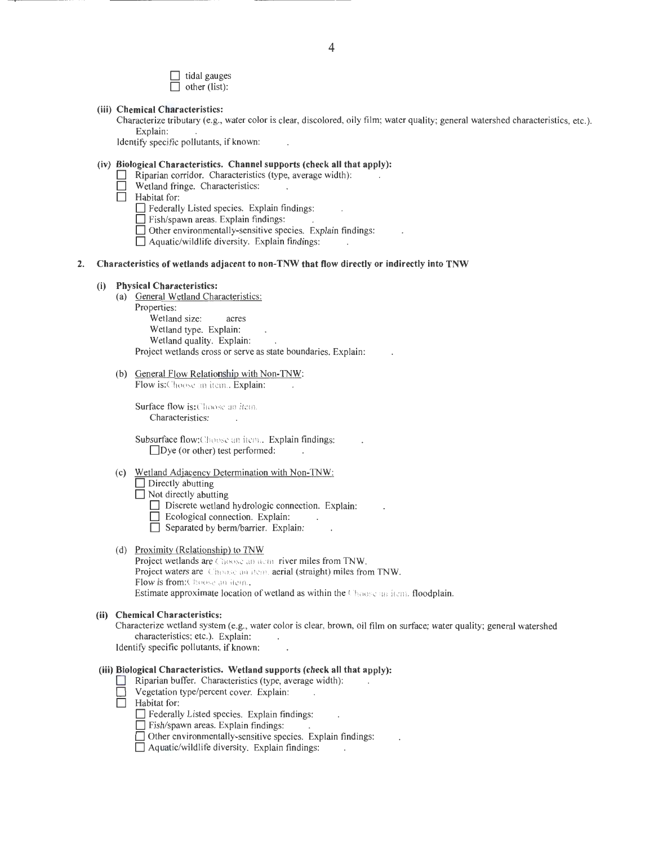D tidal gauges  $\Box$  other (list):

#### **(iii) Chemical Characteristics:**

Characterize tributary (e.g., water color is clear, discolored, oily film; water quality; general watershed characteristics, etc.). Explain:

Identify specific pollutants, if known:

# **(iv) Biological Characteristics. Channel supports (check all that apply):**

- Riparian corridor. Characteristics (type, average width):
- $\Box$  Wetland fringe. Characteristics:<br>  $\Box$  Habitat for:
- **Habitat for:** 
	- D Federally Listed species. Explain findings:
	- **D** Fish/spawn areas. Explain findings:
	- $\Box$  Other environmentally-sensitive species. Explain findings:
	- $\Box$  Aquatic/wildlife diversity. Explain findings:

## **2. Characteristics of wetlands adjacent to non-TNW that flow directly or indirectly into TNW**

#### **(i) Physical Characteristics:**

- (a) General Wetland Characteristics: Properties: Wetland size: acres Wetland type. Explain: Wetland quality. Explain: Project wetlands cross or serve as state boundaries. Explain:
- (b) General Flow Relationship with Non-TNW:

Flow is: Choose an item.. Explain:

Surface flow is: Choose an item. Characteristics:

Subsurface flow:Choose an item.. Explain findings:  $\Box$ Dye (or other) test performed:

- (c) Wetland Adjacency Determination with Non-TNW: **D** Directly abutting
	-
	- $\Box$  Not directly abutting
		- $\Box$  Discrete wetland hydrologic connection. Explain:
		- $\Box$  Ecological connection. Explain:
		- $\Box$  Separated by berm/barrier. Explain:
- (d) Proximity (Relationship) to TNW Project wetlands are Choose an item. river miles from TNW. Project waters are Choose an item. aerial (straight) miles from TNW. Flow is from:Choose an item... Estimate approximate location of wetland as within the Choose an item. floodplain.

#### **(ii) Chemical Characteristics:**

Characterize wetland system (e.g., water color is clear, brown, oil film on surface; water quality; general watershed characteristics; etc.). Explain:

Identify specific pollutants, if known:

### **(iii) Biological Characteristics. Wetland supports (check all that apply):**

- D Riparian buffer. Characteristics (type, average width):
- D Vegetation type/percent cover. Explain:
- Habitat for:
	- D Federally Listed species. Explain findings:
	- $\Box$  Fish/spawn areas. Explain findings:
	- $\Box$  Other environmentally-sensitive species. Explain findings:
	- $\Box$  Aquatic/wildlife diversity. Explain findings: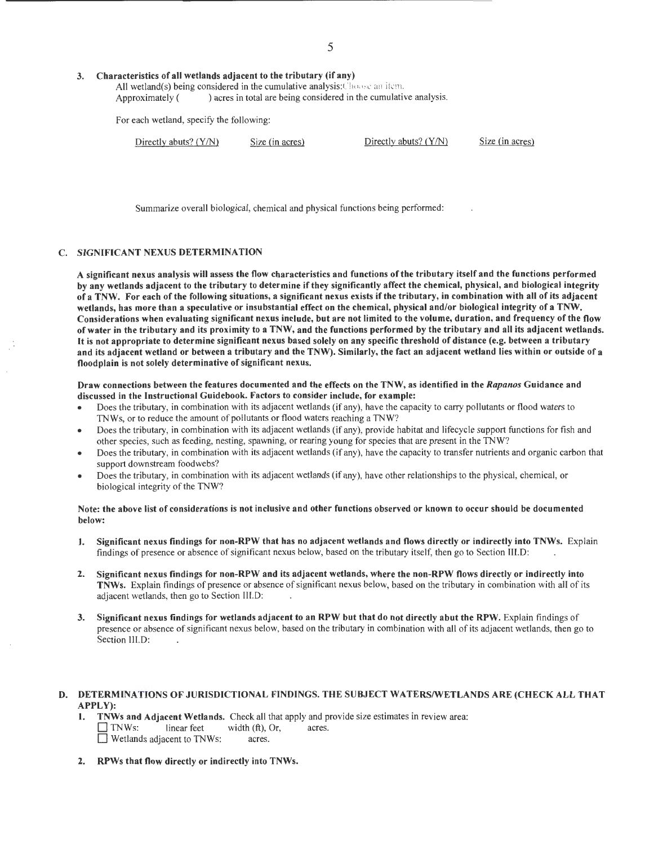#### 3. Characteristics of all wetlands adjacent to the tributary (if any)

All wetland(s) being considered in the cumulative analysis: Choose an item. Approximately () acres in total are being considered in the cumulative analysis.

For each wetland, specify the following:

| Directly abuts? $(Y/N)$ | Size (in acres) | Directly abuts? $(Y/N)$ | Size (in acres) |
|-------------------------|-----------------|-------------------------|-----------------|
|-------------------------|-----------------|-------------------------|-----------------|

Summarize overall biological, chemical and physical functions being performed:

# C. SIGNIFICANT NEXUS DETERMINATION

A significant nexus analysis will assess the flow characteristics and functions of the tributary itself and the functions performed by any wetlands adjacent to the tributary to determine if they significantly affect the chemical, physical, and biological integrity of a TNW. For each of the following situations, a significant nexus exists if the tributary, in combination with all of its adjacent wetlands, has more than a speculative or insubstantial effect on the chemical, physical and/or biological integrity of a TNW. Considerations when evaluating significant nexus include, but are not limited to the volume, duration, and frequency of the flow of water in the tributary and its proximity to a TNW, and the functions performed by the tributary and all its adjacent wetlands. It is not appropriate to determine significant nexus based solely on any specific threshold of distance (e.g. between a tributary and its adjacent wetland or between a tributary and the TNW). Similarly, the fact an adjacent wetland lies within or outside of a floodplain is not solely determinative of significant nexus.

Draw connections between the features documented and the effects on the TNW, as identified in the Rapanos Guidance and discussed in the Instructional Guidebook. Factors to consider include, for example:

- Does the tributary, in combination with its adjacent wetlands (if any), have the capacity to carry pollutants or flood waters to TNWs, or to reduce the amount of pollutants or flood waters reaching a TNW?
- Does the tributary, in combination with its adjacent wetlands (if any), provide habitat and lifecycle support functions for fish and other species, such as feeding, nesting, spawning, or rearing young for species that are present in the TNW?
- Does the tributary, in combination with its adjacent wetlands (if any), have the capacity to transfer nutrients and organic carbon that support downstream foodwebs?
- Does the tributary, in combination with its adjacent wetlands (if any), have other relationships to the physical, chemical, or biological integrity of the TNW?

# Note: the above list of considerations is not inclusive and other functions observed or known to occur should be documented below:

- 1. Significant nexus findings for non-RPW that has no adjacent wetlands and flows directly or indirectly into TNWs. Explain findings of presence or absence of significant nexus below, based on the tributary itself, then go to Section III.D:
- 2. Significant nexus findings for non-RPW and its adjacent wetlands, where the non-RPW flows directly or indirectly into TNWs. Explain findings of presence or absence of significant nexus below, based on the tributary in combination with all of its adjacent wetlands, then go to Section III.D:
- 3. Significant nexus findings for wetlands adjacent to an RPW but that do not directly abut the RPW. Explain findings of presence or absence of significant nexus below, based on the tributary in combination with all of its adjacent wetlands, then go to Section lll.D:

# D. DETERMINATIONS OF JURISDICTIONAL FINDINGS. THE SUBJECT WATERS/WETLANDS ARE (CHECK ALL THAT APPLY):

- 1. TNWs and Adjacent Wetlands. Check all that apply and provide size estimates in review area:  $\Box$  TNWs: linear feet width (ft), Or, acres. **D** Wetlands adjacent to TNWs: acres.
- 2. RPWs that flow directly or indirectly into TNWs.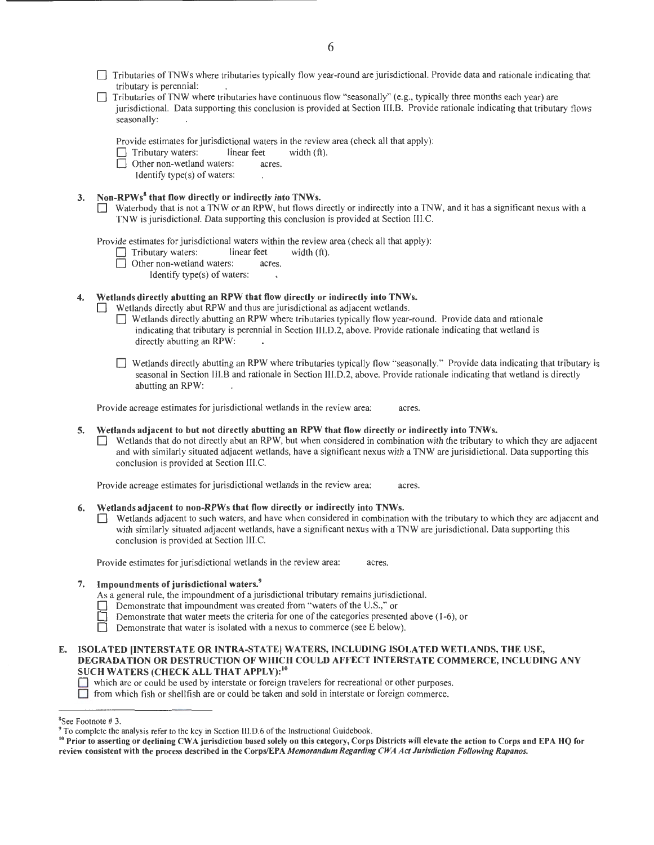- D Tributaries ofTNWs where tributaries typically flow year-round are jurisdictional. Provide data and rationale indicating that tributary is perennial:
- D Tributaries ofTNW where tributaries have continuous flow "seasonally" (e.g., typically three months each year) are jurisdictional. Data supporting this conclusion is provided at Section 111.8. Provide rationale indicating that tributary flows seasonally:
	- Provide estimates for jurisdictional waters in the review area (check all that apply):<br>  $\Box$  Tributary waters: linear feet width (ft).
	- $\Box$  Tributary waters: linear feet  $\Box$  Other non-wetland waters: acres.
		- Other non-wetland waters:
			- Identify type(s) of waters:

# 3. Non-RPWs<sup>8</sup> that flow directly or indirectly into TNWs.

 $\Box$  Waterbody that is not a TNW or an RPW, but flows directly or indirectly into a TNW, and it has a significant nexus with a TNW is jurisdictional. Data supporting this conclusion is provided at Section III. C.

Provide estimates for jurisdictional waters within the review area (check all that apply):<br>  $\Box$  Tributary waters: linear feet width (ft).

 $\Box$  Tributary waters: linear feet  $\Box$  Other non-wetland waters: acres.

 $\Box$  Other non-wetland waters:

Identify type(s) of waters:

# 4. Wetlands directly abutting an RPW that flow directly or indirectly into TNWs.

Wetlands directly abut RPW and thus are jurisdictional as adjacent wetlands.

- D Wetlands directly abutting an RPW where tributaries typically flow year-round. Provide data and rationale indicating that tributary is perennial in Section III.D.2, above. Provide rationale indicating that wetland is directly abutting an RPW:
- D Wetlands directly abutting an RPW where tributaries typically flow "seasonally." Provide data indicating that tributary is seasonal in Section 111.8 and rationale in Section III.D.2, above. Provide rationale indicating that wetland is directly abutting an RPW:

Provide acreage estimates for jurisdictional wetlands in the review area: acres.

#### 5. Wetlands adjacent to but not directly abutting an RPW that flow directly or indirectly into TNWs.

D Wetlands that do not directly abut an RPW, but when considered in combination with the tributary to which they are adjacent and with similarly situated adjacent wetlands, have a significant nexus with a TNW are jurisidictional. Data supporting this conclusion is provided at Section III.C.

Provide acreage estimates for jurisdictional wetlands in the review area: acres.

#### 6. Wetlands adjacent to non-RPWs that flow directly or indirectly into TNWs.

Wetlands adjacent to such waters, and have when considered in combination with the tributary to which they are adjacent and with similarly situated adjacent wetlands, have a significant nexus with a TNW are jurisdictional. Data supporting this conclusion is provided at Section III.C.

Provide estimates for jurisdictional wetlands in the review area: acres.

# 7. Impoundments of jurisdictional waters.<sup>9</sup>

- As a general rule, the impoundment of a jurisdictional tributary remains jurisdictional.
- Demonstrate that impoundment was created from "waters of the U.S.," or
- Demonstrate that water meets the criteria for one of the categories presented above (1-6), or
- Demonstrate that water is isolated with a nexus to commerce (see E below).
- E. ISOLATED [INTERSTATE OR INTRA-STATE[ WATERS, INCLUDING ISOLATED WETLANDS, THE USE, DEGRADATION OR DESTRUCTION OF WHICH COULD AFFECT INTERSTATE COMMERCE, INCLUDING ANY SUCH WATERS (CHECK ALL THAT APPLY):<sup>10</sup>

D from which fish or shellfish are or could be taken and sold in interstate or foreign commerce.

D which are or could be used by interstate or foreign travelers for recreational or other purposes.

<sup>&</sup>lt;sup>8</sup>See Footnote #3.

<sup>&</sup>lt;sup>9</sup> To complete the analysis refer to the key in Section III.D.6 of the Instructional Guidebook.<br><sup>10</sup> Prior to asserting or declining CWA jurisdiction based solely on this category, Corps Districts will elevate the action review consistent with the process described in the Corps/EPA *Memorandum Regarding CWA Act Jurisdiction Following Rapanos.*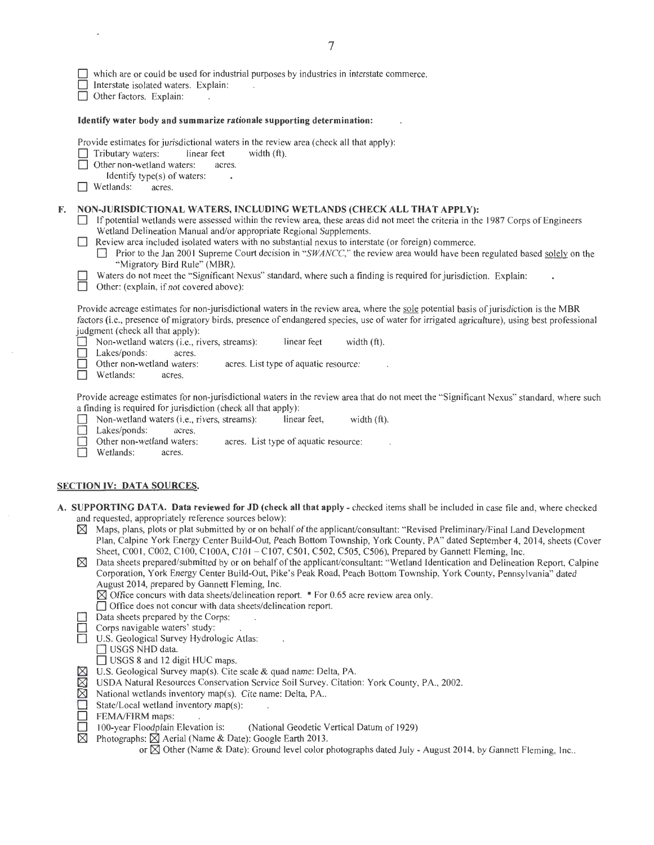|  | $\Box$ which are or could be used for industrial purposes by industries in interstate commerce. |  |  |  |
|--|-------------------------------------------------------------------------------------------------|--|--|--|
|--|-------------------------------------------------------------------------------------------------|--|--|--|

- Interstate isolated waters. Explain:
- $\Box$  Other factors. Explain:

#### Identify water body and summarize rationale supporting determination:

Provide estimates for jurisdictional waters in the review area (check all that apply):<br>  $\Box$  Tributary waters: linear feet width (ft).

 $\Box$  Tributary waters: linear feet

- □ Other non-wetland waters: acres.
- Identify type(s) of waters:<br>tlands: acres.
- $\Box$  Wetlands:

### F. NON-JURISDICTIONAL WATERS, INCLUDING WETLANDS (CHECK ALL THAT APPLY):

- $\Box$  If potential wetlands were assessed within the review area, these areas did not meet the criteria in the 1987 Corps of Engineers Wetland Delineation Manual and/or appropriate Regional Supplements.
- $\Box$  Review area included isolated waters with no substantial nexus to interstate (or foreign) commerce.
	- □ Prior to the Jan 2001 Supreme Court decision in "SWANCC," the review area would have been regulated based solely on the "Migratory Bird Rule" (MBR).
- Waters do not meet the "Significant Nexus" standard, where such a finding is required for jurisdiction. Explain:<br>
Other: (explain, if not covered above):

Other: (explain, if not covered above):

Provide acreage estimates for non-jurisdictional waters in the review area, where the sole potential basis of jurisdiction is the MBR factors (i.e., presence of migratory birds, presence of endangered species, use of water for irrigated agriculture), using best professional judgment (check all that apply):

Non-wetland waters (i.e., rivers, streams): linear feet width (ft).<br>
Lakes/ponds: acres.

Lakes/ponds: acres.<br>Other non-wetland waters:

acres. List type of aquatic resource:

□ Wetlands: acres.

Provide acreage estimates for non-jurisdictional waters in the review area that do not meet the "Significant Nexus" standard, where such a finding is required for jurisdiction (check all that apply):

- D Non-wetland waters (i.e., rivers, streams): linear feet, width (ft). Lakes/ponds: acres.<br>Other non-wetland waters: Other non-wetland waters: acres. List type of aquatic resource:<br>
Wetlands: acres.
- Wetlands: acres.

# SECTION IV: DATA SOURCES.

- A. SUPPORTING DATA. Data reviewed for JD (check all that apply- checked items shall be included in case file and, where checked and requested, appropriately reference sources below):
	- $\boxtimes$  Maps, plans, plots or plat submitted by or on behalf of the applicant/consultant: "Revised Preliminary/Final Land Development Plan, Calpine York Energy Center Build-Out, Peach Bottom Township, York County, PA" dated September 4, 2014, sheets (Cover Sheet, C001, C002, C100, C100A, C101 - C107, C501, C502, C505, C506), Prepared by Gannett Fleming, Inc.
	- $\boxtimes$  Data sheets prepared/submitted by or on behalf of the applicant/consultant: "Wetland Identication and Delineation Report, Calpine Corporation, York Energy Center Build-Out, Pike's Peak Road, Peach Bottom Township, York County, Pennsylvania" dated August 2014, prepared by Gannett Fleming, Inc.
		- $\boxtimes$  Office concurs with data sheets/delineation report. \* For 0.65 acre review area only.
		- □ Office does not concur with data sheets/delineation report.
		- Data sheets prepared by the Corps:
	- Corps navigable waters' study:
	- D U.S. Geological Survey Hydrologic Atlas:
		- USGS NHD data.
		- $\Box$  USGS 8 and 12 digit HUC maps.
	- $\boxtimes$  U.S. Geological Survey map(s). Cite scale & quad name: Delta, PA.  $\boxtimes$  USDA Natural Resources Conservation Service Soil Survey. Citatio
	- $\boxtimes$  USDA Natural Resources Conservation Service Soil Survey. Citation: York County, PA., 2002.<br> $\boxtimes$  National wetlands inventory map(s). Cite name: Delta, PA..
	- ⊠ National wetlands inventory map(s). Cite name: Delta, PA..<br>
	I State/Local wetland inventory map(s):<br>
	I FEMA/FIRM maps:<br>
	100-vear Floodplain Elevation is: (National Geodetic N
	- State/Local wetland inventory map(s):
	-
	- FEMA/FIRM maps:<br>100-year Floodplain Elevation is:  $\Box$  100-year Floodplain Elevation is: (National Geodetic Vertical Datum of 1929)<br>  $\boxtimes$  Photographs:  $\boxtimes$  Aerial (Name & Date): Google Earth 2013.
		- Photographs:  $\boxtimes$  Aerial (Name & Date): Google Earth 2013.
			- or  $\boxtimes$  Other (Name & Date): Ground level color photographs dated July August 2014, by Gannett Fleming, Inc..